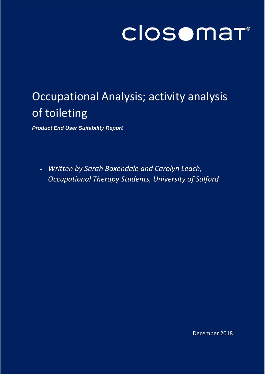### **Closomar®**

### Occupational Analysis; activity analysis of toileting

*Product End User Suitability Report*

- *Written by Sarah Baxendale and Carolyn Leach, Occupational Therapy Students, University of Salford*

December 2018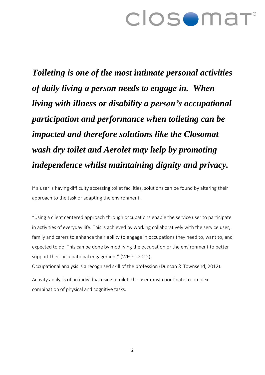### closomat

*Toileting is one of the most intimate personal activities of daily living a person needs to engage in. When living with illness or disability a person's occupational participation and performance when toileting can be impacted and therefore solutions like the Closomat wash dry toilet and Aerolet may help by promoting independence whilst maintaining dignity and privacy.*

If a user is having difficulty accessing toilet facilities, solutions can be found by altering their approach to the task or adapting the environment.

"Using a client centered approach through occupations enable the service user to participate in activities of everyday life. This is achieved by working collaboratively with the service user, family and carers to enhance their ability to engage in occupations they need to, want to, and expected to do. This can be done by modifying the occupation or the environment to better support their occupational engagement" (WFOT, 2012).

Occupational analysis is a recognised skill of the profession (Duncan & Townsend, 2012).

Activity analysis of an individual using a toilet; the user must coordinate a complex combination of physical and cognitive tasks.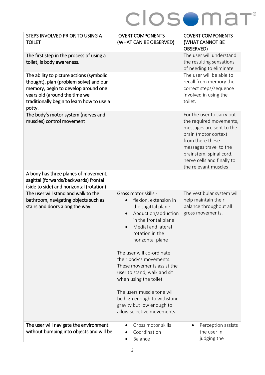# closomar<sup>®</sup>

| STEPS INVOLVED PRIOR TO USING A<br><b>TOILET</b>                                                                                                                                                                  | <b>OVERT COMPONENTS</b><br>(WHAT CAN BE OBSERVED)                                                                                                                                                                                                                                                                                                                                                                                                       | <b>COVERT COMPONENTS</b><br>(WHAT CANNOT BE<br>OBSERVED)                                                                                                                                                                                |  |
|-------------------------------------------------------------------------------------------------------------------------------------------------------------------------------------------------------------------|---------------------------------------------------------------------------------------------------------------------------------------------------------------------------------------------------------------------------------------------------------------------------------------------------------------------------------------------------------------------------------------------------------------------------------------------------------|-----------------------------------------------------------------------------------------------------------------------------------------------------------------------------------------------------------------------------------------|--|
| The first step in the process of using a<br>toilet, is body awareness.                                                                                                                                            |                                                                                                                                                                                                                                                                                                                                                                                                                                                         | The user will understand<br>the resulting sensations<br>of needing to eliminate                                                                                                                                                         |  |
| The ability to picture actions (symbolic<br>thought), plan (problem solve) and our<br>memory, begin to develop around one<br>years old (around the time we<br>traditionally begin to learn how to use a<br>potty. |                                                                                                                                                                                                                                                                                                                                                                                                                                                         | The user will be able to<br>recall from memory the<br>correct steps/sequence<br>involved in using the<br>toilet.                                                                                                                        |  |
| The body's motor system (nerves and<br>muscles) control movement                                                                                                                                                  |                                                                                                                                                                                                                                                                                                                                                                                                                                                         | For the user to carry out<br>the required movements,<br>messages are sent to the<br>brain (motor cortex)<br>from there these<br>messages travel to the<br>brainstem, spinal cord,<br>nerve cells and finally to<br>the relevant muscles |  |
| A body has three planes of movement,<br>sagittal (forwards/backwards) frontal<br>(side to side) and horizontal (rotation)                                                                                         |                                                                                                                                                                                                                                                                                                                                                                                                                                                         |                                                                                                                                                                                                                                         |  |
| The user will stand and walk to the<br>bathroom, navigating objects such as<br>stairs and doors along the way.                                                                                                    | Gross motor skills -<br>flexion, extension in<br>the sagittal plane.<br>Abduction/adduction<br>in the frontal plane<br>Medial and lateral<br>rotation in the<br>horizontal plane<br>The user will co-ordinate<br>their body's movements.<br>These movements assist the<br>user to stand, walk and sit<br>when using the toilet.<br>The users muscle tone will<br>be high enough to withstand<br>gravity but low enough to<br>allow selective movements. | The vestibular system will<br>help maintain their<br>balance throughout all<br>gross movements.                                                                                                                                         |  |
| The user will navigate the environment<br>without bumping into objects and will be                                                                                                                                | Gross motor skills<br>Coordination<br>Balance                                                                                                                                                                                                                                                                                                                                                                                                           | Perception assists<br>the user in<br>judging the                                                                                                                                                                                        |  |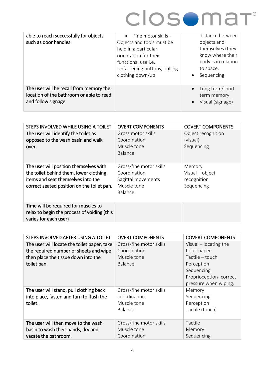# closomar<sup>®</sup>

| able to reach successfully for objects<br>such as door handles.                                           | $\bullet$ Fine motor skills -<br>Objects and tools must be<br>held in a particular<br>orientation for their<br>functional use i.e.<br>Unfastening buttons, pulling<br>clothing down/up | distance between<br>objects and<br>themselves (they<br>know where their<br>body is in relation<br>to space.<br>Sequencing<br>$\bullet$ |
|-----------------------------------------------------------------------------------------------------------|----------------------------------------------------------------------------------------------------------------------------------------------------------------------------------------|----------------------------------------------------------------------------------------------------------------------------------------|
| The user will be recall from memory the<br>location of the bathroom or able to read<br>and follow signage |                                                                                                                                                                                        | Long term/short<br>$\bullet$<br>term memory<br>Visual (signage)<br>$\bullet$                                                           |

| STEPS INVOLVED WHILE USING A TOILET                                                                                                                                  | <b>OVERT COMPONENTS</b>                                                                        | <b>COVERT COMPONENTS</b>                               |
|----------------------------------------------------------------------------------------------------------------------------------------------------------------------|------------------------------------------------------------------------------------------------|--------------------------------------------------------|
| The user will identify the toilet as<br>opposed to the wash basin and walk<br>over.                                                                                  | Gross motor skills<br>Coordination<br>Muscle tone<br><b>Balance</b>                            | Object recognition<br>(visual)<br>Sequencing           |
| The user will position themselves with<br>the toilet behind them, lower clothing<br>items and seat themselves into the<br>correct seated position on the toilet pan. | Gross/fine motor skills<br>Coordination<br>Sagittal movements<br>Muscle tone<br><b>Balance</b> | Memory<br>Visual - object<br>recognition<br>Sequencing |
| Time will be required for muscles to<br>relax to begin the process of voiding (this<br>varies for each user)                                                         |                                                                                                |                                                        |

| STEPS INVOLVED AFTER USING A TOILET                                                 | <b>OVERT COMPONENTS</b> | <b>COVERT COMPONENTS</b>        |
|-------------------------------------------------------------------------------------|-------------------------|---------------------------------|
| The user will locate the toilet paper, take                                         | Gross/fine motor skills | Visual $-$ locating the         |
| the required number of sheets and wipe<br>then place the tissue down into the       | Coordination            | toilet paper<br>Tactile - touch |
|                                                                                     | Muscle tone             |                                 |
| toilet pan                                                                          | Balance                 | Perception                      |
|                                                                                     |                         | Sequencing                      |
|                                                                                     |                         | Proprioception-correct          |
|                                                                                     |                         | pressure when wiping.           |
| The user will stand, pull clothing back<br>into place, fasten and turn to flush the | Gross/fine motor skills | Memory                          |
|                                                                                     | coordination            | Sequencing                      |
| toilet.                                                                             | Muscle tone             | Perception                      |
|                                                                                     | <b>Balance</b>          | Tactile (touch)                 |
|                                                                                     |                         |                                 |
| The user will then move to the wash                                                 | Gross/fine motor skills | Tactile                         |
| basin to wash their hands, dry and                                                  | Muscle tone             | Memory                          |
| vacate the bathroom.                                                                | Coordination            | Sequencing                      |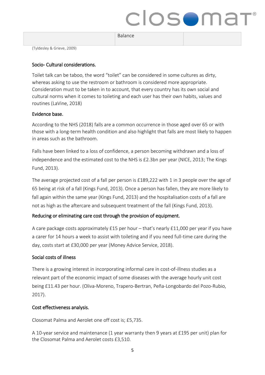### closomat

|  | Balance |
|--|---------|
|--|---------|

(Tyldesley & Grieve, 2009)

#### Socio- Cultural considerations.

Toilet talk can be taboo, the word "toilet" can be considered in some cultures as dirty, whereas asking to use the restroom or bathroom is considered more appropriate. Consideration must to be taken in to account, that every country has its own social and cultural norms when it comes to toileting and each user has their own habits, values and routines (LaVine, 2018)

#### Evidence base.

According to the NHS (2018) falls are a common occurrence in those aged over 65 or with those with a long-term health condition and also highlight that falls are most likely to happen in areas such as the bathroom.

Falls have been linked to a loss of confidence, a person becoming withdrawn and a loss of independence and the estimated cost to the NHS is £2.3bn per year (NICE, 2013; The Kings Fund, 2013).

The average projected cost of a fall per person is £189,222 with 1 in 3 people over the age of 65 being at risk of a fall (Kings Fund, 2013). Once a person has fallen, they are more likely to fall again within the same year (Kings Fund, 2013) and the hospitalisation costs of a fall are not as high as the aftercare and subsequent treatment of the fall (Kings Fund, 2013).

#### Reducing or eliminating care cost through the provision of equipment.

A care package costs approximately £15 per hour – that's nearly £11,000 per year if you have a carer for 14 hours a week to assist with toileting and if you need full-time care during the day, costs start at £30,000 per year (Money Advice Service, 2018).

#### Social costs of illness

There is a growing interest in incorporating informal care in cost-of-illness studies as a relevant part of the economic impact of some diseases with the average hourly unit cost being £11.43 per hour. (Oliva-Moreno, Trapero-Bertran, Peña-Longobardo del Pozo-Rubio, 2017).

#### Cost effectiveness analysis.

Closomat Palma and Aerolet one off cost is; £5,735.

A 10-year service and maintenance (1 year warranty then 9 years at £195 per unit) plan for the Closomat Palma and Aerolet costs £3,510.